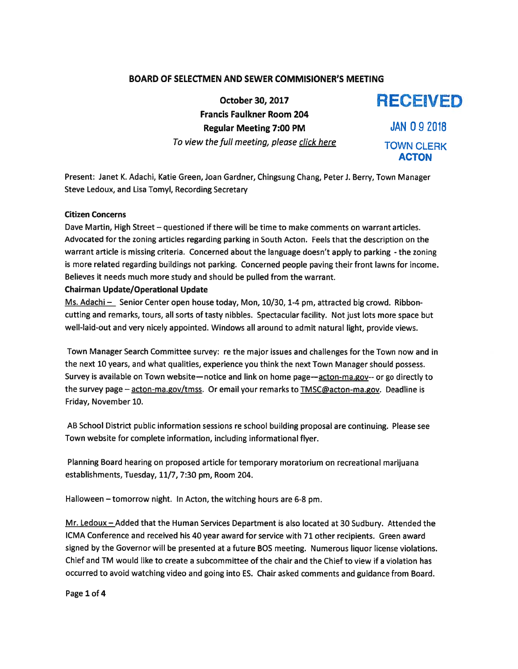# BOARD OF SELECTMEN AND SEWER COMMISIONER'S MEETING

October 30, 2017 RECEIVED Francis Faulkner Room 204 Regular Meeting 7:00 PM JAN 0 9 2018 To view the full meeting, please click here TOWN CLERK

ACTON

Present: Janet K. Adachi, Katie Green, Joan Gardner, Chingsung Chang, Peter J. Berry, Town Manager Steve Ledoux, and Lisa Tomyl, Recording Secretary

## Citizen Concerns

Dave Martin, High Street — questioned if there will be time to make comments on warrant articles. Advocated for the zoning articles regarding parking in South Acton. Feels that the description on the warrant article is missing criteria. Concerned about the language doesn't apply to parking - the zoning is more related regarding buildings not parking. Concerned people paving their front lawns for income. Believes it needs much more study and should be pulled from the warrant.

### Chairman Update/Operational Update

Ms. Adachi - Senior Center open house today, Mon, 10/30, 1-4 pm, attracted big crowd. Ribboncutting and remarks, tours, all sorts of tasty nibbles. Spectacular facility. Not just lots more space but well-laid-out and very nicely appointed. Windows all around to admit natural light, provide views.

Town Manager Search Committee survey: re the major issues and challenges for the Town now and in the next 10 years, and what qualities, experience you think the next Town Manager should possess. Survey is available on Town website—notice and link on home page—acton-ma.gov-- or go directly to the survey page - acton-ma.gov/tmss. Or email your remarks to TMSC@acton-ma.gov. Deadline is Friday, November 10.

AB School District public information sessions re school building proposal are continuing. Please see Town website for complete information, including informational flyer.

Planning Board hearing on proposed article for temporary moratorium on recreational marijuana establishments, Tuesday, 11/7, 7:30 pm, Room 204.

Halloween —tomorrow night. In Acton, the witching hours are 6-8 pm.

Mr. Ledoux — Added that the Human Services Department is also located at <sup>30</sup> Sudbury. Attended the ICMA Conference and received his 40 year award for service with 71 other recipients. Green award signed by the Governor will be presented at <sup>a</sup> future BOS meeting. Numerous liquor license violations. Chief and TM would like to create <sup>a</sup> subcommittee of the chair and the Chief to view if <sup>a</sup> violation has occurred to avoid watching video and going into ES. Chair asked comments and guidance from Board.

Page 1 of 4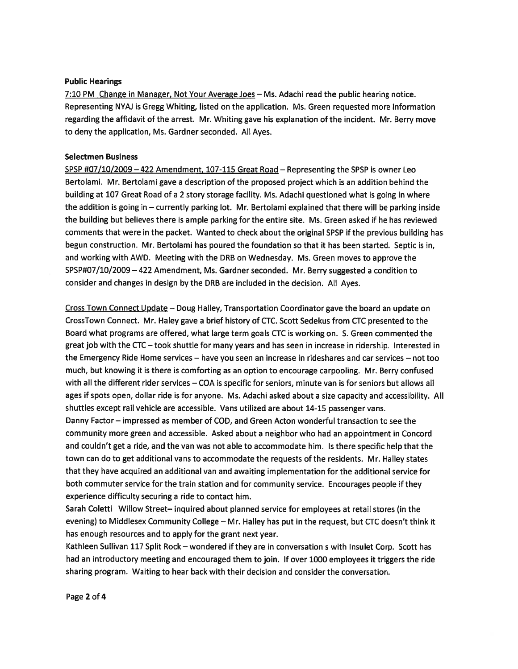### Public Hearings

7:10 PM Change in Manager, Not Your Average Joes — Ms. Adachi read the public hearing notice. Representing NYAJ is Gregg Whiting, listed on the application. Ms. Green requested more information regarding the affidavit of the arrest. Mr. Whiting gave his explanation of the incident. Mr. Berry move to deny the application, Ms. Gardner seconded. All Ayes.

#### Selectmen Business

SPSP #07/10/2009 - 422 Amendment, 107-115 Great Road - Representing the SPSP is owner Leo Bertolami. Mr. Bertolami gave <sup>a</sup> description of the proposed project which is an addition behind the building at 107 Great Road of <sup>a</sup> 2 story storage facility. Ms. Adachi questioned what is going in where the addition is going in — currently parking lot. Mr. Bertolami explained that there will be parking inside the building but believes there is ample parking for the entire site. Ms. Green asked if he has reviewed comments that were in the packet. Wanted to check about the original SPSP if the previous building has begun construction. Mr. Bertolami has poured the foundation so that it has been started. Septic is in, and working with AWD. Meeting with the DRB on Wednesday. Ms. Green moves to approve the SPSP#07/10/2009 —422 Amendment, Ms. Gardner seconded. Mr. Berry suggested <sup>a</sup> condition to consider and changes in design by the DRB are included in the decision. All Ayes.

Cross Town Connect Update — Doug Halley, Transportation Coordinator gave the board an update on CrossTown Connect. Mr. Haley gave <sup>a</sup> brief history of CTC. Scott Sedekus from CTC presented to the Board what programs are offered, what large term goals CTC is working on. S. Green commented the grea<sup>t</sup> job with the CTC — took shuttle for many years and has seen in increase in ridership. Interested in the Emergency Ride Home services — have you seen an increase in rideshares and car services — not too much, but knowing it is there is comforting as an option to encourage carpooling. Mr. Berry confused with all the different rider services — COA is specific for seniors, minute van is for seniors but allows all ages if spots open, dollar ride is for anyone. Ms. Adachi asked about <sup>a</sup> size capacity and accessibility. All shuttles excep<sup>t</sup> rail vehicle are accessible. Vans utilized are about 14-15 passenger vans.

Danny Factor — impressed as member of COD, and Green Acton wonderful transaction to see the community more green and accessible. Asked about <sup>a</sup> neighbor who had an appointment in Concord and couldn't ge<sup>t</sup> <sup>a</sup> ride, and the van was not able to accommodate him. Is there specific help that the town can do to ge<sup>t</sup> additional vans to accommodate the requests of the residents. Mr. Halley states that they have acquired an additional van and awaiting implementation for the additional service for both commuter service for the train station and for community service. Encourages people if they experience difficulty securing <sup>a</sup> ride to contact him.

Sarah Coletti Willow Street— inquired about <sup>p</sup>lanned service for employees at retail stores (in the evening) to Middlesex Community College — Mr. Halley has pu<sup>t</sup> in the request, but CTC doesn't think it has enough resources and to apply for the gran<sup>t</sup> next year.

Kathleen Sullivan <sup>117</sup> Split Rock — wondered if they are in conversation <sup>s</sup> with Insulet Corp. Scott has had an introductory meeting and encourage<sup>d</sup> them to join. If over <sup>1000</sup> employees it triggers the ride sharing program. Waiting to hear back with their decision and consider the conversation.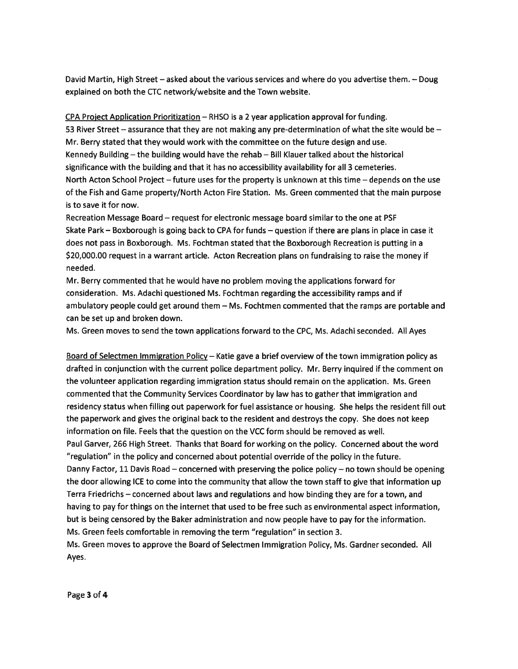David Martin, High Street — asked about the various services and where do you advertise them. — Doug explained on both the CTC network/website and the Town website.

CPA Project Application Prioritization — RHSO is <sup>a</sup> 2 year application approval for funding. 53 River Street — assurance that they are not making any pre-determination of what the site would be — Mr. Berry stated that they would work with the committee on the future design and use. Kennedy Building — the building would have the rehab — Bill Klauer talked about the historical significance with the building and that it has no accessibility availability for all 3 cemeteries. North Acton School Project — future uses for the property is unknown at this time — depends on the use of the Fish and Game property/North Acton Fire Station. Ms. Green commented that the main purpose is to save it for now.

Recreation Message Board — reques<sup>t</sup> for electronic message board similar to the one at PSF Skate Park — Boxborough is going back to CPA for funds — question if there are plans in place in case it does not pass in Boxborough. Ms. Fochtman stated that the Boxborough Recreation is putting in <sup>a</sup> \$20,000.00 reques<sup>t</sup> in <sup>a</sup> warrant article. Acton Recreation <sup>p</sup>lans on fundraising to raise the money if needed.

Mr. Berry commented that he would have no problem moving the applications forward for consideration. Ms. Adachi questioned Ms. Fochtman regarding the accessibility ramps and if ambulatory people could ge<sup>t</sup> around them — Ms. Fochtmen commented that the ramps are portable and can be set up and broken down.

Ms. Green moves to send the town applications forward to the CPC, Ms. Adachi seconded. All Ayes

Board of Selectmen Immigration Policy — Katie gave <sup>a</sup> brief overview of the town immigration policy as drafted in conjunction with the current police department policy. Mr. Berry inquired if the comment on the volunteer application regarding immigration status should remain on the application. Ms. Green commented that the Community Services Coordinator by law has to gather that immigration and residency status when filling out paperwork for fuel assistance or housing. She helps the resident fill out the paperwork and gives the original back to the resident and destroys the copy. She does not keep information on file. Feels that the question on the VCC form should be removed as well. Paul Garver, 266 High Street. Thanks that Board for working on the policy. Concerned about the word "regulation" in the policy and concerned about potential override of the policy in the future. Danny Factor, 11 Davis Road — concerned with preserving the police policy — no town should be opening the door allowing ICE to come into the community that allow the town staff to give that information up Terra Friedrichs — concerned about laws and regulations and how binding they are for <sup>a</sup> town, and having to pay for things on the internet that used to be free such as environmental aspec<sup>t</sup> information, but is being censored by the Baker administration and now people have to pay for the information. Ms. Green feels comfortable in removing the term "regulation" in section 3. Ms. Green moves to approve the Board of Selectmen Immigration Policy, Ms. Gardner seconded. All Ayes.